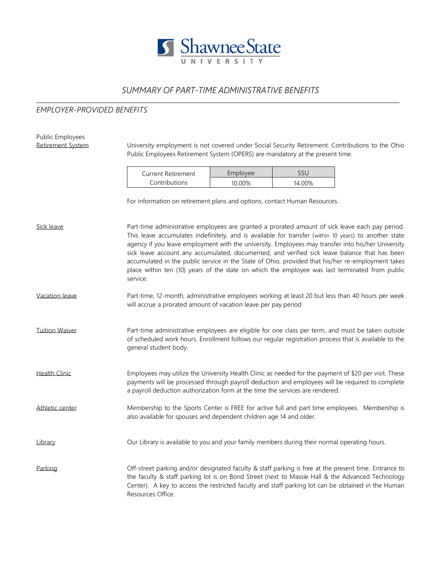

## *SUMMARY OF PART-TIME ADMINISTRATIVE BENEFITS*

## *EMPLOYER-PROVIDED BENEFITS*

| Public Employees<br>Retirement System |                                                                                                                                                                                                                                                                                                                                                                                                                                                                                                                                                                                                                                   |          |        |  |  |  |
|---------------------------------------|-----------------------------------------------------------------------------------------------------------------------------------------------------------------------------------------------------------------------------------------------------------------------------------------------------------------------------------------------------------------------------------------------------------------------------------------------------------------------------------------------------------------------------------------------------------------------------------------------------------------------------------|----------|--------|--|--|--|
|                                       | University employment is not covered under Social Security Retirement. Contributions to the Ohio<br>Public Employees Retirement System (OPERS) are mandatory at the present time.                                                                                                                                                                                                                                                                                                                                                                                                                                                 |          |        |  |  |  |
|                                       | <b>Current Retirement</b><br>Contributions                                                                                                                                                                                                                                                                                                                                                                                                                                                                                                                                                                                        | Employee | SSU    |  |  |  |
|                                       |                                                                                                                                                                                                                                                                                                                                                                                                                                                                                                                                                                                                                                   | 10.00%   | 14.00% |  |  |  |
|                                       | For information on retirement plans and options, contact Human Resources.                                                                                                                                                                                                                                                                                                                                                                                                                                                                                                                                                         |          |        |  |  |  |
| Sick leave                            | Part-time administrative employees are granted a prorated amount of sick leave each pay period.<br>This leave accumulates indefinitely, and is available for transfer (within 10 years) to another state<br>agency if you leave employment with the university. Employees may transfer into his/her University<br>sick leave account any accumulated, documented, and verified sick leave balance that has been<br>accumulated in the public service in the State of Ohio, provided that his/her re-employment takes<br>place within ten (10) years of the date on which the employee was last terminated from public<br>service. |          |        |  |  |  |
| Vacation leave                        | Part-time, 12-month, administrative employees working at least 20 but less than 40 hours per week<br>will accrue a prorated amount of vacation leave per pay period                                                                                                                                                                                                                                                                                                                                                                                                                                                               |          |        |  |  |  |
| <b>Tuition Waiver</b>                 | Part-time administrative employees are eligible for one class per term, and must be taken outside<br>of scheduled work hours. Enrollment follows our regular registration process that is available to the<br>general student body.                                                                                                                                                                                                                                                                                                                                                                                               |          |        |  |  |  |
| <b>Health Clinic</b>                  | Employees may utilize the University Health Clinic as needed for the payment of \$20 per visit. These<br>payments will be processed through payroll deduction and employees will be required to complete<br>a payroll deduction authorization form at the time the services are rendered.                                                                                                                                                                                                                                                                                                                                         |          |        |  |  |  |
| Athletic center                       | Membership to the Sports Center is FREE for active full and part time employees. Membership is<br>also available for spouses and dependent children age 14 and older.                                                                                                                                                                                                                                                                                                                                                                                                                                                             |          |        |  |  |  |
| Library                               | Our Library is available to you and your family members during their normal operating hours.                                                                                                                                                                                                                                                                                                                                                                                                                                                                                                                                      |          |        |  |  |  |
| Parking                               | Off-street parking and/or designated faculty & staff parking is free at the present time. Entrance to<br>the faculty & staff parking lot is on Bond Street (next to Massie Hall & the Advanced Technology<br>Center). A key to access the restricted faculty and staff parking lot can be obtained in the Human<br>Resources Office.                                                                                                                                                                                                                                                                                              |          |        |  |  |  |